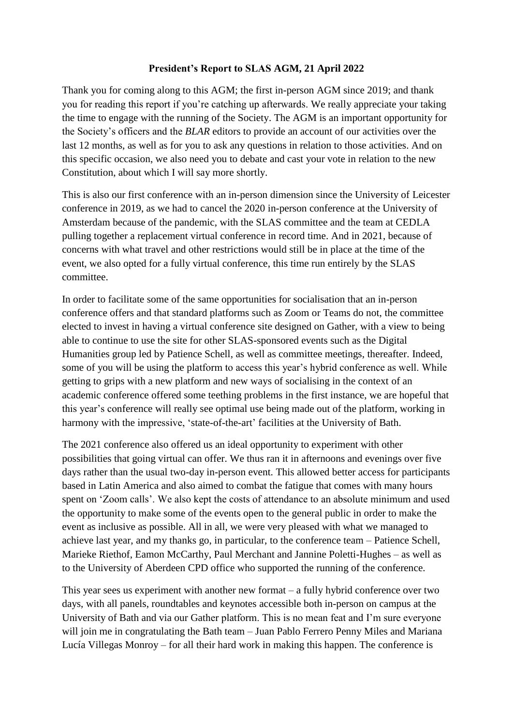## **President's Report to SLAS AGM, 21 April 2022**

Thank you for coming along to this AGM; the first in-person AGM since 2019; and thank you for reading this report if you're catching up afterwards. We really appreciate your taking the time to engage with the running of the Society. The AGM is an important opportunity for the Society's officers and the *BLAR* editors to provide an account of our activities over the last 12 months, as well as for you to ask any questions in relation to those activities. And on this specific occasion, we also need you to debate and cast your vote in relation to the new Constitution, about which I will say more shortly.

This is also our first conference with an in-person dimension since the University of Leicester conference in 2019, as we had to cancel the 2020 in-person conference at the University of Amsterdam because of the pandemic, with the SLAS committee and the team at CEDLA pulling together a replacement virtual conference in record time. And in 2021, because of concerns with what travel and other restrictions would still be in place at the time of the event, we also opted for a fully virtual conference, this time run entirely by the SLAS committee.

In order to facilitate some of the same opportunities for socialisation that an in-person conference offers and that standard platforms such as Zoom or Teams do not, the committee elected to invest in having a virtual conference site designed on Gather, with a view to being able to continue to use the site for other SLAS-sponsored events such as the Digital Humanities group led by Patience Schell, as well as committee meetings, thereafter. Indeed, some of you will be using the platform to access this year's hybrid conference as well. While getting to grips with a new platform and new ways of socialising in the context of an academic conference offered some teething problems in the first instance, we are hopeful that this year's conference will really see optimal use being made out of the platform, working in harmony with the impressive, 'state-of-the-art' facilities at the University of Bath.

The 2021 conference also offered us an ideal opportunity to experiment with other possibilities that going virtual can offer. We thus ran it in afternoons and evenings over five days rather than the usual two-day in-person event. This allowed better access for participants based in Latin America and also aimed to combat the fatigue that comes with many hours spent on 'Zoom calls'. We also kept the costs of attendance to an absolute minimum and used the opportunity to make some of the events open to the general public in order to make the event as inclusive as possible. All in all, we were very pleased with what we managed to achieve last year, and my thanks go, in particular, to the conference team – Patience Schell, Marieke Riethof, Eamon McCarthy, Paul Merchant and Jannine Poletti-Hughes – as well as to the University of Aberdeen CPD office who supported the running of the conference.

This year sees us experiment with another new format – a fully hybrid conference over two days, with all panels, roundtables and keynotes accessible both in-person on campus at the University of Bath and via our Gather platform. This is no mean feat and I'm sure everyone will join me in congratulating the Bath team – Juan Pablo Ferrero Penny Miles and Mariana Lucía Villegas Monroy – for all their hard work in making this happen. The conference is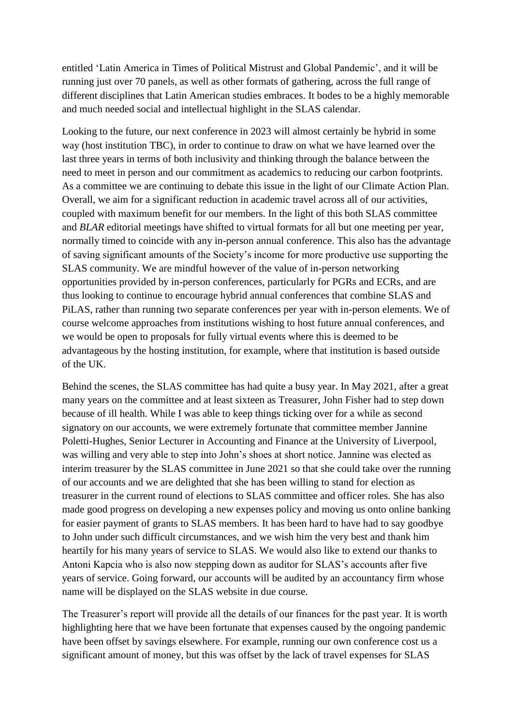entitled 'Latin America in Times of Political Mistrust and Global Pandemic', and it will be running just over 70 panels, as well as other formats of gathering, across the full range of different disciplines that Latin American studies embraces. It bodes to be a highly memorable and much needed social and intellectual highlight in the SLAS calendar.

Looking to the future, our next conference in 2023 will almost certainly be hybrid in some way (host institution TBC), in order to continue to draw on what we have learned over the last three years in terms of both inclusivity and thinking through the balance between the need to meet in person and our commitment as academics to reducing our carbon footprints. As a committee we are continuing to debate this issue in the light of our Climate Action Plan. Overall, we aim for a significant reduction in academic travel across all of our activities, coupled with maximum benefit for our members. In the light of this both SLAS committee and *BLAR* editorial meetings have shifted to virtual formats for all but one meeting per year, normally timed to coincide with any in-person annual conference. This also has the advantage of saving significant amounts of the Society's income for more productive use supporting the SLAS community. We are mindful however of the value of in-person networking opportunities provided by in-person conferences, particularly for PGRs and ECRs, and are thus looking to continue to encourage hybrid annual conferences that combine SLAS and PiLAS, rather than running two separate conferences per year with in-person elements. We of course welcome approaches from institutions wishing to host future annual conferences, and we would be open to proposals for fully virtual events where this is deemed to be advantageous by the hosting institution, for example, where that institution is based outside of the UK.

Behind the scenes, the SLAS committee has had quite a busy year. In May 2021, after a great many years on the committee and at least sixteen as Treasurer, John Fisher had to step down because of ill health. While I was able to keep things ticking over for a while as second signatory on our accounts, we were extremely fortunate that committee member Jannine Poletti-Hughes, Senior Lecturer in Accounting and Finance at the University of Liverpool, was willing and very able to step into John's shoes at short notice. Jannine was elected as interim treasurer by the SLAS committee in June 2021 so that she could take over the running of our accounts and we are delighted that she has been willing to stand for election as treasurer in the current round of elections to SLAS committee and officer roles. She has also made good progress on developing a new expenses policy and moving us onto online banking for easier payment of grants to SLAS members. It has been hard to have had to say goodbye to John under such difficult circumstances, and we wish him the very best and thank him heartily for his many years of service to SLAS. We would also like to extend our thanks to Antoni Kapcia who is also now stepping down as auditor for SLAS's accounts after five years of service. Going forward, our accounts will be audited by an accountancy firm whose name will be displayed on the SLAS website in due course.

The Treasurer's report will provide all the details of our finances for the past year. It is worth highlighting here that we have been fortunate that expenses caused by the ongoing pandemic have been offset by savings elsewhere. For example, running our own conference cost us a significant amount of money, but this was offset by the lack of travel expenses for SLAS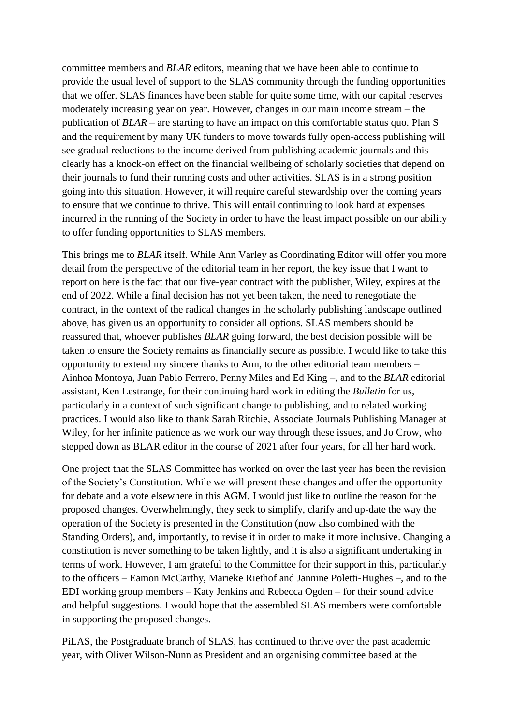committee members and *BLAR* editors, meaning that we have been able to continue to provide the usual level of support to the SLAS community through the funding opportunities that we offer. SLAS finances have been stable for quite some time, with our capital reserves moderately increasing year on year. However, changes in our main income stream – the publication of *BLAR* – are starting to have an impact on this comfortable status quo. Plan S and the requirement by many UK funders to move towards fully open-access publishing will see gradual reductions to the income derived from publishing academic journals and this clearly has a knock-on effect on the financial wellbeing of scholarly societies that depend on their journals to fund their running costs and other activities. SLAS is in a strong position going into this situation. However, it will require careful stewardship over the coming years to ensure that we continue to thrive. This will entail continuing to look hard at expenses incurred in the running of the Society in order to have the least impact possible on our ability to offer funding opportunities to SLAS members.

This brings me to *BLAR* itself. While Ann Varley as Coordinating Editor will offer you more detail from the perspective of the editorial team in her report, the key issue that I want to report on here is the fact that our five-year contract with the publisher, Wiley, expires at the end of 2022. While a final decision has not yet been taken, the need to renegotiate the contract, in the context of the radical changes in the scholarly publishing landscape outlined above, has given us an opportunity to consider all options. SLAS members should be reassured that, whoever publishes *BLAR* going forward, the best decision possible will be taken to ensure the Society remains as financially secure as possible. I would like to take this opportunity to extend my sincere thanks to Ann, to the other editorial team members – Ainhoa Montoya, Juan Pablo Ferrero, Penny Miles and Ed King –, and to the *BLAR* editorial assistant, Ken Lestrange, for their continuing hard work in editing the *Bulletin* for us, particularly in a context of such significant change to publishing, and to related working practices. I would also like to thank Sarah Ritchie, Associate Journals Publishing Manager at Wiley, for her infinite patience as we work our way through these issues, and Jo Crow, who stepped down as BLAR editor in the course of 2021 after four years, for all her hard work.

One project that the SLAS Committee has worked on over the last year has been the revision of the Society's Constitution. While we will present these changes and offer the opportunity for debate and a vote elsewhere in this AGM, I would just like to outline the reason for the proposed changes. Overwhelmingly, they seek to simplify, clarify and up-date the way the operation of the Society is presented in the Constitution (now also combined with the Standing Orders), and, importantly, to revise it in order to make it more inclusive. Changing a constitution is never something to be taken lightly, and it is also a significant undertaking in terms of work. However, I am grateful to the Committee for their support in this, particularly to the officers – Eamon McCarthy, Marieke Riethof and Jannine Poletti-Hughes –, and to the EDI working group members – Katy Jenkins and Rebecca Ogden – for their sound advice and helpful suggestions. I would hope that the assembled SLAS members were comfortable in supporting the proposed changes.

PiLAS, the Postgraduate branch of SLAS, has continued to thrive over the past academic year, with Oliver Wilson-Nunn as President and an organising committee based at the